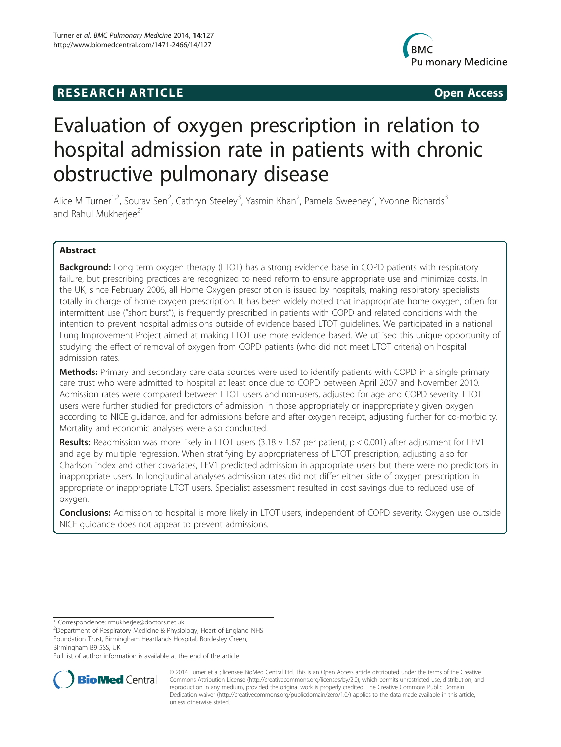# **RESEARCH ARTICLE Example 2014 CONSIDERING CONSIDERING CONSIDERING CONSIDERING CONSIDERING CONSIDERING CONSIDERING CONSIDERING CONSIDERING CONSIDERING CONSIDERING CONSIDERING CONSIDERING CONSIDERING CONSIDERING CONSIDE**



# Evaluation of oxygen prescription in relation to hospital admission rate in patients with chronic obstructive pulmonary disease

Alice M Turner<sup>1,2</sup>, Sourav Sen<sup>2</sup>, Cathryn Steeley<sup>3</sup>, Yasmin Khan<sup>2</sup>, Pamela Sweeney<sup>2</sup>, Yvonne Richards<sup>3</sup> and Rahul Mukherjee<sup>2\*</sup>

# Abstract

**Background:** Long term oxygen therapy (LTOT) has a strong evidence base in COPD patients with respiratory failure, but prescribing practices are recognized to need reform to ensure appropriate use and minimize costs. In the UK, since February 2006, all Home Oxygen prescription is issued by hospitals, making respiratory specialists totally in charge of home oxygen prescription. It has been widely noted that inappropriate home oxygen, often for intermittent use ("short burst"), is frequently prescribed in patients with COPD and related conditions with the intention to prevent hospital admissions outside of evidence based LTOT guidelines. We participated in a national Lung Improvement Project aimed at making LTOT use more evidence based. We utilised this unique opportunity of studying the effect of removal of oxygen from COPD patients (who did not meet LTOT criteria) on hospital admission rates.

Methods: Primary and secondary care data sources were used to identify patients with COPD in a single primary care trust who were admitted to hospital at least once due to COPD between April 2007 and November 2010. Admission rates were compared between LTOT users and non-users, adjusted for age and COPD severity. LTOT users were further studied for predictors of admission in those appropriately or inappropriately given oxygen according to NICE guidance, and for admissions before and after oxygen receipt, adjusting further for co-morbidity. Mortality and economic analyses were also conducted.

**Results:** Readmission was more likely in LTOT users  $(3.18 \vee 1.67$  per patient,  $p < 0.001$ ) after adjustment for FEV1 and age by multiple regression. When stratifying by appropriateness of LTOT prescription, adjusting also for Charlson index and other covariates, FEV1 predicted admission in appropriate users but there were no predictors in inappropriate users. In longitudinal analyses admission rates did not differ either side of oxygen prescription in appropriate or inappropriate LTOT users. Specialist assessment resulted in cost savings due to reduced use of oxygen.

Conclusions: Admission to hospital is more likely in LTOT users, independent of COPD severity. Oxygen use outside NICE guidance does not appear to prevent admissions.

\* Correspondence: [rmukherjee@doctors.net.uk](mailto:rmukherjee@doctors.net.uk) <sup>2</sup>

Full list of author information is available at the end of the article



© 2014 Turner et al.; licensee BioMed Central Ltd. This is an Open Access article distributed under the terms of the Creative Commons Attribution License [\(http://creativecommons.org/licenses/by/2.0\)](http://creativecommons.org/licenses/by/2.0), which permits unrestricted use, distribution, and reproduction in any medium, provided the original work is properly credited. The Creative Commons Public Domain Dedication waiver [\(http://creativecommons.org/publicdomain/zero/1.0/](http://creativecommons.org/publicdomain/zero/1.0/)) applies to the data made available in this article, unless otherwise stated.

<sup>&</sup>lt;sup>2</sup>Department of Respiratory Medicine & Physiology, Heart of England NHS Foundation Trust, Birmingham Heartlands Hospital, Bordesley Green, Birmingham B9 5SS, UK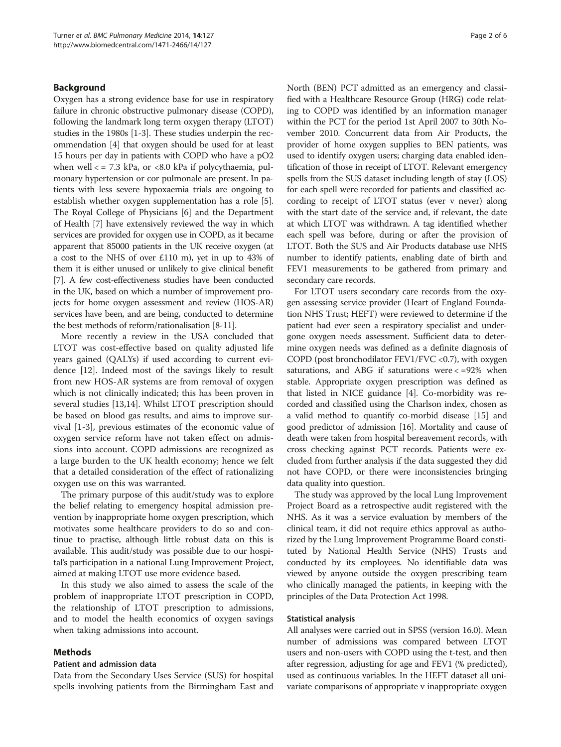# Background

Oxygen has a strong evidence base for use in respiratory failure in chronic obstructive pulmonary disease (COPD), following the landmark long term oxygen therapy (LTOT) studies in the 1980s [[1-3](#page-5-0)]. These studies underpin the recommendation [\[4](#page-5-0)] that oxygen should be used for at least 15 hours per day in patients with COPD who have a pO2 when well < = 7.3 kPa, or <8.0 kPa if polycythaemia, pulmonary hypertension or cor pulmonale are present. In patients with less severe hypoxaemia trials are ongoing to establish whether oxygen supplementation has a role [[5](#page-5-0)]. The Royal College of Physicians [\[6](#page-5-0)] and the Department of Health [\[7](#page-5-0)] have extensively reviewed the way in which services are provided for oxygen use in COPD, as it became apparent that 85000 patients in the UK receive oxygen (at a cost to the NHS of over £110 m), yet in up to 43% of them it is either unused or unlikely to give clinical benefit [[7](#page-5-0)]. A few cost-effectiveness studies have been conducted in the UK, based on which a number of improvement projects for home oxygen assessment and review (HOS-AR) services have been, and are being, conducted to determine the best methods of reform/rationalisation [[8](#page-5-0)-[11](#page-5-0)].

More recently a review in the USA concluded that LTOT was cost-effective based on quality adjusted life years gained (QALYs) if used according to current evidence [\[12](#page-5-0)]. Indeed most of the savings likely to result from new HOS-AR systems are from removal of oxygen which is not clinically indicated; this has been proven in several studies [[13,14\]](#page-5-0). Whilst LTOT prescription should be based on blood gas results, and aims to improve survival [\[1](#page-5-0)-[3\]](#page-5-0), previous estimates of the economic value of oxygen service reform have not taken effect on admissions into account. COPD admissions are recognized as a large burden to the UK health economy; hence we felt that a detailed consideration of the effect of rationalizing oxygen use on this was warranted.

The primary purpose of this audit/study was to explore the belief relating to emergency hospital admission prevention by inappropriate home oxygen prescription, which motivates some healthcare providers to do so and continue to practise, although little robust data on this is available. This audit/study was possible due to our hospital's participation in a national Lung Improvement Project, aimed at making LTOT use more evidence based.

In this study we also aimed to assess the scale of the problem of inappropriate LTOT prescription in COPD, the relationship of LTOT prescription to admissions, and to model the health economics of oxygen savings when taking admissions into account.

#### Methods

#### Patient and admission data

Data from the Secondary Uses Service (SUS) for hospital spells involving patients from the Birmingham East and North (BEN) PCT admitted as an emergency and classified with a Healthcare Resource Group (HRG) code relating to COPD was identified by an information manager within the PCT for the period 1st April 2007 to 30th November 2010. Concurrent data from Air Products, the provider of home oxygen supplies to BEN patients, was used to identify oxygen users; charging data enabled identification of those in receipt of LTOT. Relevant emergency spells from the SUS dataset including length of stay (LOS) for each spell were recorded for patients and classified according to receipt of LTOT status (ever v never) along with the start date of the service and, if relevant, the date at which LTOT was withdrawn. A tag identified whether each spell was before, during or after the provision of LTOT. Both the SUS and Air Products database use NHS number to identify patients, enabling date of birth and FEV1 measurements to be gathered from primary and secondary care records.

For LTOT users secondary care records from the oxygen assessing service provider (Heart of England Foundation NHS Trust; HEFT) were reviewed to determine if the patient had ever seen a respiratory specialist and undergone oxygen needs assessment. Sufficient data to determine oxygen needs was defined as a definite diagnosis of COPD (post bronchodilator FEV1/FVC <0.7), with oxygen saturations, and ABG if saturations were < =92% when stable. Appropriate oxygen prescription was defined as that listed in NICE guidance [\[4\]](#page-5-0). Co-morbidity was recorded and classified using the Charlson index, chosen as a valid method to quantify co-morbid disease [\[15\]](#page-5-0) and good predictor of admission [\[16\]](#page-5-0). Mortality and cause of death were taken from hospital bereavement records, with cross checking against PCT records. Patients were excluded from further analysis if the data suggested they did not have COPD, or there were inconsistencies bringing data quality into question.

The study was approved by the local Lung Improvement Project Board as a retrospective audit registered with the NHS. As it was a service evaluation by members of the clinical team, it did not require ethics approval as authorized by the Lung Improvement Programme Board constituted by National Health Service (NHS) Trusts and conducted by its employees. No identifiable data was viewed by anyone outside the oxygen prescribing team who clinically managed the patients, in keeping with the principles of the Data Protection Act 1998.

#### Statistical analysis

All analyses were carried out in SPSS (version 16.0). Mean number of admissions was compared between LTOT users and non-users with COPD using the t-test, and then after regression, adjusting for age and FEV1 (% predicted), used as continuous variables. In the HEFT dataset all univariate comparisons of appropriate v inappropriate oxygen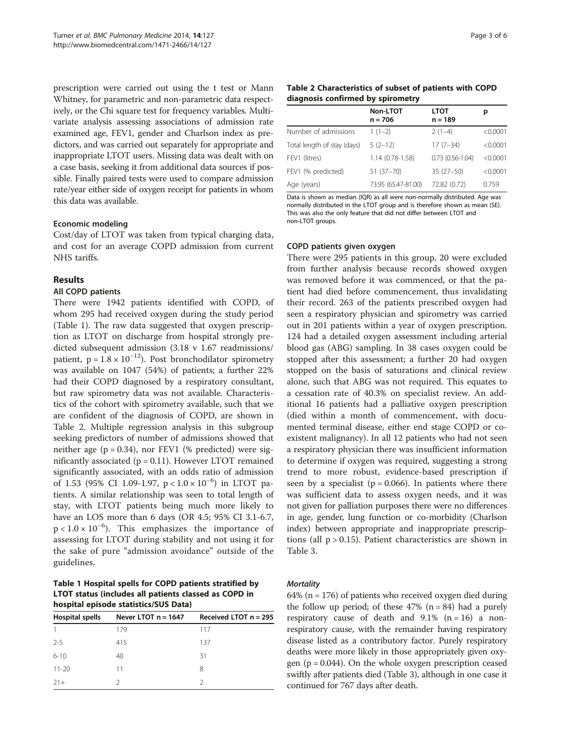<span id="page-2-0"></span>prescription were carried out using the t test or Mann Whitney, for parametric and non-parametric data respectively, or the Chi square test for frequency variables. Multivariate analysis assessing associations of admission rate examined age, FEV1, gender and Charlson index as predictors, and was carried out separately for appropriate and inappropriate LTOT users. Missing data was dealt with on a case basis, seeking it from additional data sources if possible. Finally paired tests were used to compare admission rate/year either side of oxygen receipt for patients in whom this data was available.

## Economic modeling

Cost/day of LTOT was taken from typical charging data, and cost for an average COPD admission from current NHS tariffs.

# Results

# All COPD patients

There were 1942 patients identified with COPD, of whom 295 had received oxygen during the study period (Table 1). The raw data suggested that oxygen prescription as LTOT on discharge from hospital strongly predicted subsequent admission (3.18 v 1.67 readmissions/ patient,  $p = 1.8 \times 10^{-12}$ ). Post bronchodilator spirometry was available on 1047 (54%) of patients; a further 22% had their COPD diagnosed by a respiratory consultant, but raw spirometry data was not available. Characteristics of the cohort with spirometry available, such that we are confident of the diagnosis of COPD, are shown in Table 2. Multiple regression analysis in this subgroup seeking predictors of number of admissions showed that neither age  $(p = 0.34)$ , nor FEV1 (% predicted) were significantly associated  $(p = 0.11)$ . However LTOT remained significantly associated, with an odds ratio of admission of 1.53 (95% CI 1.09-1.97, p < 1.0 × 10−<sup>6</sup> ) in LTOT patients. A similar relationship was seen to total length of stay, with LTOT patients being much more likely to have an LOS more than 6 days (OR 4.5; 95% CI 3.1-6.7,  $p < 1.0 \times 10^{-6}$ ). This emphasizes the importance of assessing for LTOT during stability and not using it for the sake of pure "admission avoidance" outside of the guidelines.

Table 1 Hospital spells for COPD patients stratified by LTOT status (includes all patients classed as COPD in hospital episode statistics/SUS Data)

| <b>Hospital spells</b> | Never LTOT $n = 1647$ | Received LTOT $n = 295$ |  |  |
|------------------------|-----------------------|-------------------------|--|--|
|                        | 179                   | 117                     |  |  |
| $2 - 5$                | 415                   | 137                     |  |  |
| $6 - 10$               | 40                    | 31                      |  |  |
| $11 - 20$              | 11                    | 8                       |  |  |
| $21+$                  | 2                     | 2                       |  |  |

| Table 2 Characteristics of subset of patients with COPD |  |
|---------------------------------------------------------|--|
| diagnosis confirmed by spirometry                       |  |

| Non-LTOT<br>$n = 706$ | <b>LTOT</b><br>$n = 189$ | р        |
|-----------------------|--------------------------|----------|
| $1(1-2)$              | $2(1-4)$                 | < 0.0001 |
| $5(2-12)$             | $17(7-34)$               | < 0.0001 |
| $1.14(0.78-1.58)$     | $0.73(0.56-1.04)$        | < 0.0001 |
| 51 (37-70)            | $35(27-50)$              | < 0.0001 |
| 73.95 (65.47-81.00)   | 72.82 (0.72)             | 0.759    |
|                       |                          |          |

Data is shown as median (IQR) as all were non-normally distributed. Age was normally distributed in the LTOT group and is therefore shown as mean (SE). This was also the only feature that did not differ between LTOT and non-LTOT groups.

#### COPD patients given oxygen

There were 295 patients in this group, 20 were excluded from further analysis because records showed oxygen was removed before it was commenced, or that the patient had died before commencement, thus invalidating their record. 263 of the patients prescribed oxygen had seen a respiratory physician and spirometry was carried out in 201 patients within a year of oxygen prescription. 124 had a detailed oxygen assessment including arterial blood gas (ABG) sampling. In 38 cases oxygen could be stopped after this assessment; a further 20 had oxygen stopped on the basis of saturations and clinical review alone, such that ABG was not required. This equates to a cessation rate of 40.3% on specialist review. An additional 16 patients had a palliative oxygen prescription (died within a month of commencement, with documented terminal disease, either end stage COPD or coexistent malignancy). In all 12 patients who had not seen a respiratory physician there was insufficient information to determine if oxygen was required, suggesting a strong trend to more robust, evidence-based prescription if seen by a specialist ( $p = 0.066$ ). In patients where there was sufficient data to assess oxygen needs, and it was not given for palliation purposes there were no differences in age, gender, lung function or co-morbidity (Charlson index) between appropriate and inappropriate prescriptions (all  $p > 0.15$ ). Patient characteristics are shown in Table [3.](#page-3-0)

#### **Mortality**

64% ( $n = 176$ ) of patients who received oxygen died during the follow up period; of these  $47\%$  (n = 84) had a purely respiratory cause of death and  $9.1\%$  (n = 16) a nonrespiratory cause, with the remainder having respiratory disease listed as a contributory factor. Purely respiratory deaths were more likely in those appropriately given oxygen ( $p = 0.044$ ). On the whole oxygen prescription ceased swiftly after patients died (Table [3](#page-3-0)), although in one case it continued for 767 days after death.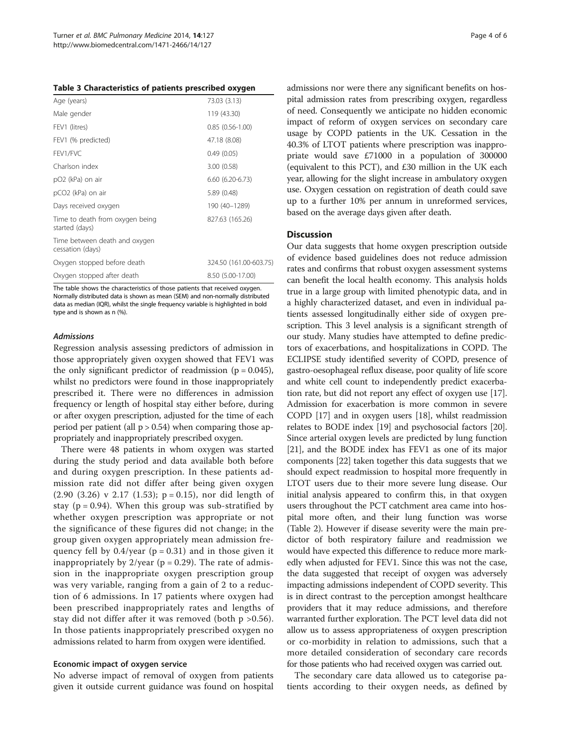<span id="page-3-0"></span>

| Age (years)                                       | 73.03 (3.13)           |
|---------------------------------------------------|------------------------|
| Male gender                                       | 119 (43.30)            |
| FEV1 (litres)                                     | $0.85(0.56-1.00)$      |
| FEV1 (% predicted)                                | 47.18 (8.08)           |
| FFV1/FVC                                          | 0.49(0.05)             |
| Charlson index                                    | 3.00(0.58)             |
| pO <sub>2</sub> (kPa) on air                      | $6.60(6.20-6.73)$      |
| pCO2 (kPa) on air                                 | 5.89 (0.48)            |
| Days received oxygen                              | 190 (40-1289)          |
| Time to death from oxygen being<br>started (days) | 827.63 (165.26)        |
| Time between death and oxygen<br>cessation (days) |                        |
| Oxygen stopped before death                       | 324.50 (161.00-603.75) |
| Oxygen stopped after death                        | 8.50 (5.00-17.00)      |
|                                                   |                        |

The table shows the characteristics of those patients that received oxygen. Normally distributed data is shown as mean (SEM) and non-normally distributed data as median (IQR), whilst the single frequency variable is highlighted in bold type and is shown as n (%).

#### Admissions

Regression analysis assessing predictors of admission in those appropriately given oxygen showed that FEV1 was the only significant predictor of readmission ( $p = 0.045$ ), whilst no predictors were found in those inappropriately prescribed it. There were no differences in admission frequency or length of hospital stay either before, during or after oxygen prescription, adjusted for the time of each period per patient (all  $p > 0.54$ ) when comparing those appropriately and inappropriately prescribed oxygen.

There were 48 patients in whom oxygen was started during the study period and data available both before and during oxygen prescription. In these patients admission rate did not differ after being given oxygen  $(2.90 (3.26)$  v  $2.17 (1.53)$ ;  $p = 0.15$ ), nor did length of stay ( $p = 0.94$ ). When this group was sub-stratified by whether oxygen prescription was appropriate or not the significance of these figures did not change; in the group given oxygen appropriately mean admission frequency fell by  $0.4$ /year ( $p = 0.31$ ) and in those given it inappropriately by  $2$ /year ( $p = 0.29$ ). The rate of admission in the inappropriate oxygen prescription group was very variable, ranging from a gain of 2 to a reduction of 6 admissions. In 17 patients where oxygen had been prescribed inappropriately rates and lengths of stay did not differ after it was removed (both p >0.56). In those patients inappropriately prescribed oxygen no admissions related to harm from oxygen were identified.

#### Economic impact of oxygen service

No adverse impact of removal of oxygen from patients given it outside current guidance was found on hospital admissions nor were there any significant benefits on hospital admission rates from prescribing oxygen, regardless of need. Consequently we anticipate no hidden economic impact of reform of oxygen services on secondary care usage by COPD patients in the UK. Cessation in the 40.3% of LTOT patients where prescription was inappropriate would save £71000 in a population of 300000 (equivalent to this PCT), and £30 million in the UK each year, allowing for the slight increase in ambulatory oxygen use. Oxygen cessation on registration of death could save up to a further 10% per annum in unreformed services, based on the average days given after death.

## **Discussion**

Our data suggests that home oxygen prescription outside of evidence based guidelines does not reduce admission rates and confirms that robust oxygen assessment systems can benefit the local health economy. This analysis holds true in a large group with limited phenotypic data, and in a highly characterized dataset, and even in individual patients assessed longitudinally either side of oxygen prescription. This 3 level analysis is a significant strength of our study. Many studies have attempted to define predictors of exacerbations, and hospitalizations in COPD. The ECLIPSE study identified severity of COPD, presence of gastro-oesophageal reflux disease, poor quality of life score and white cell count to independently predict exacerbation rate, but did not report any effect of oxygen use [[17](#page-5-0)]. Admission for exacerbation is more common in severe COPD [\[17\]](#page-5-0) and in oxygen users [\[18](#page-5-0)], whilst readmission relates to BODE index [\[19\]](#page-5-0) and psychosocial factors [[20](#page-5-0)]. Since arterial oxygen levels are predicted by lung function [[21](#page-5-0)], and the BODE index has FEV1 as one of its major components [\[22\]](#page-5-0) taken together this data suggests that we should expect readmission to hospital more frequently in LTOT users due to their more severe lung disease. Our initial analysis appeared to confirm this, in that oxygen users throughout the PCT catchment area came into hospital more often, and their lung function was worse (Table [2\)](#page-2-0). However if disease severity were the main predictor of both respiratory failure and readmission we would have expected this difference to reduce more markedly when adjusted for FEV1. Since this was not the case, the data suggested that receipt of oxygen was adversely impacting admissions independent of COPD severity. This is in direct contrast to the perception amongst healthcare providers that it may reduce admissions, and therefore warranted further exploration. The PCT level data did not allow us to assess appropriateness of oxygen prescription or co-morbidity in relation to admissions, such that a more detailed consideration of secondary care records for those patients who had received oxygen was carried out.

The secondary care data allowed us to categorise patients according to their oxygen needs, as defined by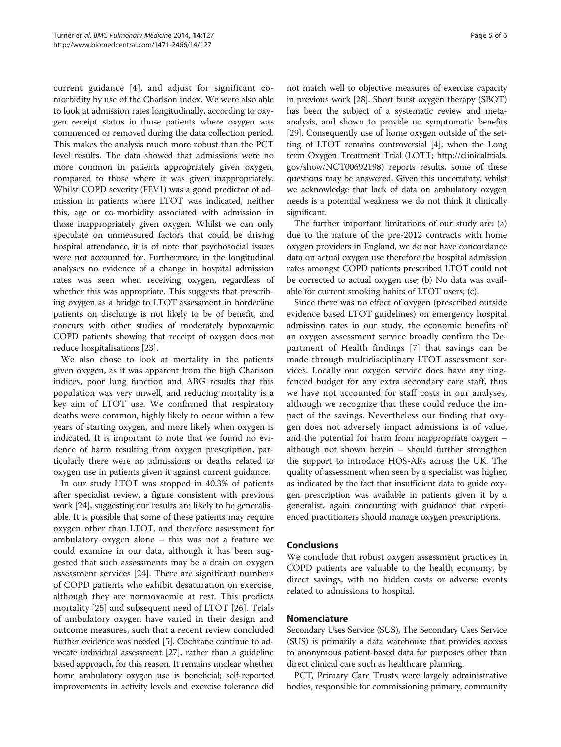current guidance [[4\]](#page-5-0), and adjust for significant comorbidity by use of the Charlson index. We were also able to look at admission rates longitudinally, according to oxygen receipt status in those patients where oxygen was commenced or removed during the data collection period. This makes the analysis much more robust than the PCT level results. The data showed that admissions were no more common in patients appropriately given oxygen, compared to those where it was given inappropriately. Whilst COPD severity (FEV1) was a good predictor of admission in patients where LTOT was indicated, neither this, age or co-morbidity associated with admission in those inappropriately given oxygen. Whilst we can only speculate on unmeasured factors that could be driving hospital attendance, it is of note that psychosocial issues were not accounted for. Furthermore, in the longitudinal analyses no evidence of a change in hospital admission rates was seen when receiving oxygen, regardless of whether this was appropriate. This suggests that prescribing oxygen as a bridge to LTOT assessment in borderline patients on discharge is not likely to be of benefit, and concurs with other studies of moderately hypoxaemic COPD patients showing that receipt of oxygen does not reduce hospitalisations [\[23\]](#page-5-0).

We also chose to look at mortality in the patients given oxygen, as it was apparent from the high Charlson indices, poor lung function and ABG results that this population was very unwell, and reducing mortality is a key aim of LTOT use. We confirmed that respiratory deaths were common, highly likely to occur within a few years of starting oxygen, and more likely when oxygen is indicated. It is important to note that we found no evidence of harm resulting from oxygen prescription, particularly there were no admissions or deaths related to oxygen use in patients given it against current guidance.

In our study LTOT was stopped in 40.3% of patients after specialist review, a figure consistent with previous work [[24](#page-5-0)], suggesting our results are likely to be generalisable. It is possible that some of these patients may require oxygen other than LTOT, and therefore assessment for ambulatory oxygen alone – this was not a feature we could examine in our data, although it has been suggested that such assessments may be a drain on oxygen assessment services [\[24](#page-5-0)]. There are significant numbers of COPD patients who exhibit desaturation on exercise, although they are normoxaemic at rest. This predicts mortality [[25\]](#page-5-0) and subsequent need of LTOT [\[26\]](#page-5-0). Trials of ambulatory oxygen have varied in their design and outcome measures, such that a recent review concluded further evidence was needed [[5](#page-5-0)]. Cochrane continue to advocate individual assessment [\[27\]](#page-5-0), rather than a guideline based approach, for this reason. It remains unclear whether home ambulatory oxygen use is beneficial; self-reported improvements in activity levels and exercise tolerance did

not match well to objective measures of exercise capacity in previous work [\[28\]](#page-5-0). Short burst oxygen therapy (SBOT) has been the subject of a systematic review and metaanalysis, and shown to provide no symptomatic benefits [[29](#page-5-0)]. Consequently use of home oxygen outside of the setting of LTOT remains controversial [[4\]](#page-5-0); when the Long term Oxygen Treatment Trial (LOTT; [http://clinicaltrials.](http://clinicaltrials.gov/show/NCT00692198) [gov/show/NCT00692198\)](http://clinicaltrials.gov/show/NCT00692198) reports results, some of these questions may be answered. Given this uncertainty, whilst we acknowledge that lack of data on ambulatory oxygen needs is a potential weakness we do not think it clinically significant.

The further important limitations of our study are: (a) due to the nature of the pre-2012 contracts with home oxygen providers in England, we do not have concordance data on actual oxygen use therefore the hospital admission rates amongst COPD patients prescribed LTOT could not be corrected to actual oxygen use; (b) No data was available for current smoking habits of LTOT users; (c).

Since there was no effect of oxygen (prescribed outside evidence based LTOT guidelines) on emergency hospital admission rates in our study, the economic benefits of an oxygen assessment service broadly confirm the Department of Health findings [[7](#page-5-0)] that savings can be made through multidisciplinary LTOT assessment services. Locally our oxygen service does have any ringfenced budget for any extra secondary care staff, thus we have not accounted for staff costs in our analyses, although we recognize that these could reduce the impact of the savings. Nevertheless our finding that oxygen does not adversely impact admissions is of value, and the potential for harm from inappropriate oxygen – although not shown herein – should further strengthen the support to introduce HOS-ARs across the UK. The quality of assessment when seen by a specialist was higher, as indicated by the fact that insufficient data to guide oxygen prescription was available in patients given it by a generalist, again concurring with guidance that experienced practitioners should manage oxygen prescriptions.

# Conclusions

We conclude that robust oxygen assessment practices in COPD patients are valuable to the health economy, by direct savings, with no hidden costs or adverse events related to admissions to hospital.

# Nomenclature

Secondary Uses Service (SUS), The Secondary Uses Service (SUS) is primarily a data warehouse that provides access to anonymous patient-based data for purposes other than direct clinical care such as healthcare planning.

PCT, Primary Care Trusts were largely administrative bodies, responsible for commissioning primary, community